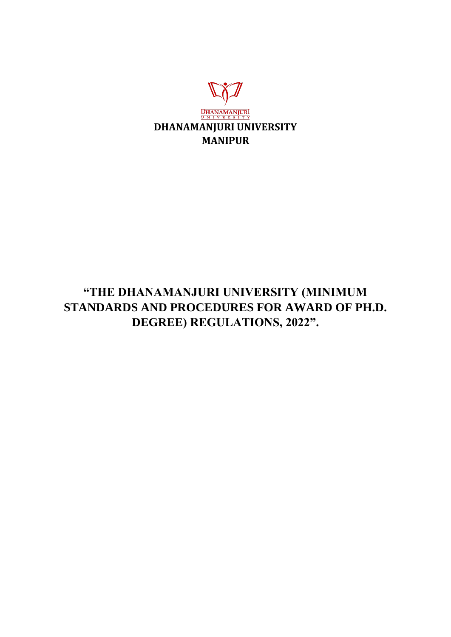

# **"THE DHANAMANJURI UNIVERSITY (MINIMUM STANDARDS AND PROCEDURES FOR AWARD OF PH.D. DEGREE) REGULATIONS, 2022".**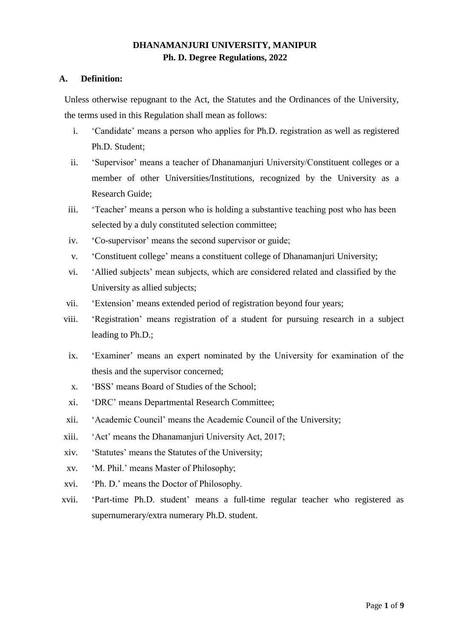# **DHANAMANJURI UNIVERSITY, MANIPUR Ph. D. Degree Regulations, 2022**

## **A. Definition:**

Unless otherwise repugnant to the Act, the Statutes and the Ordinances of the University, the terms used in this Regulation shall mean as follows:

- i. 'Candidate' means a person who applies for Ph.D. registration as well as registered Ph.D. Student;
- ii. 'Supervisor' means a teacher of Dhanamanjuri University/Constituent colleges or a member of other Universities/Institutions, recognized by the University as a Research Guide;
- iii. 'Teacher' means a person who is holding a substantive teaching post who has been selected by a duly constituted selection committee;
- iv. 'Co-supervisor' means the second supervisor or guide;
- v. 'Constituent college' means a constituent college of Dhanamanjuri University;
- vi. 'Allied subjects' mean subjects, which are considered related and classified by the University as allied subjects;
- vii. 'Extension' means extended period of registration beyond four years;
- viii. 'Registration' means registration of a student for pursuing research in a subject leading to Ph.D.;
- ix. 'Examiner' means an expert nominated by the University for examination of the thesis and the supervisor concerned;
- x. 'BSS' means Board of Studies of the School;
- xi. 'DRC' means Departmental Research Committee;
- xii. 'Academic Council' means the Academic Council of the University;
- xiii. 'Act' means the Dhanamanjuri University Act, 2017;
- xiv. 'Statutes' means the Statutes of the University;
- xv. 'M. Phil.' means Master of Philosophy;
- xvi. 'Ph. D.' means the Doctor of Philosophy.
- xvii. 'Part-time Ph.D. student' means a full-time regular teacher who registered as supernumerary/extra numerary Ph.D. student.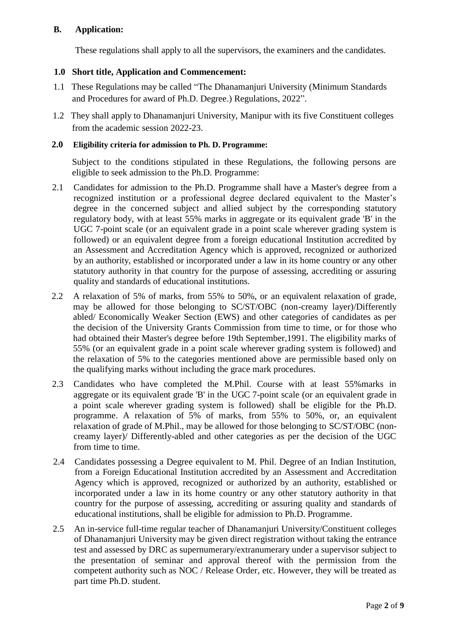# **B. Application:**

These regulations shall apply to all the supervisors, the examiners and the candidates.

# **1.0 Short title, Application and Commencement:**

- 1.1 These Regulations may be called "The Dhanamanjuri University (Minimum Standards and Procedures for award of Ph.D. Degree.) Regulations, 2022".
- 1.2 They shall apply to Dhanamanjuri University, Manipur with its five Constituent colleges from the academic session 2022-23.

## **2.0 Eligibility criteria for admission to Ph. D. Programme:**

Subject to the conditions stipulated in these Regulations, the following persons are eligible to seek admission to the Ph.D. Programme:

- 2.1 Candidates for admission to the Ph.D. Programme shall have a Master's degree from a recognized institution or a professional degree declared equivalent to the Master's degree in the concerned subject and allied subject by the corresponding statutory regulatory body, with at least 55% marks in aggregate or its equivalent grade 'B' in the UGC 7-point scale (or an equivalent grade in a point scale wherever grading system is followed) or an equivalent degree from a foreign educational Institution accredited by an Assessment and Accreditation Agency which is approved, recognized or authorized by an authority, established or incorporated under a law in its home country or any other statutory authority in that country for the purpose of assessing, accrediting or assuring quality and standards of educational institutions.
- 2.2 A relaxation of 5% of marks, from 55% to 50%, or an equivalent relaxation of grade, may be allowed for those belonging to SC/ST/OBC (non-creamy layer)/Differently abled/ Economically Weaker Section (EWS) and other categories of candidates as per the decision of the University Grants Commission from time to time, or for those who had obtained their Master's degree before 19th September,1991. The eligibility marks of 55% (or an equivalent grade in a point scale wherever grading system is followed) and the relaxation of 5% to the categories mentioned above are permissible based only on the qualifying marks without including the grace mark procedures.
- 2.3 Candidates who have completed the M.Phil. Course with at least 55%marks in aggregate or its equivalent grade 'B' in the UGC 7-point scale (or an equivalent grade in a point scale wherever grading system is followed) shall be eligible for the Ph.D. programme. A relaxation of 5% of marks, from 55% to 50%, or, an equivalent relaxation of grade of M.Phil., may be allowed for those belonging to SC/ST/OBC (noncreamy layer)/ Differently-abled and other categories as per the decision of the UGC from time to time.
- 2.4 Candidates possessing a Degree equivalent to M. Phil. Degree of an Indian Institution, from a Foreign Educational Institution accredited by an Assessment and Accreditation Agency which is approved, recognized or authorized by an authority, established or incorporated under a law in its home country or any other statutory authority in that country for the purpose of assessing, accrediting or assuring quality and standards of educational institutions, shall be eligible for admission to Ph.D. Programme.
- 2.5 An in-service full-time regular teacher of Dhanamanjuri University/Constituent colleges of Dhanamanjuri University may be given direct registration without taking the entrance test and assessed by DRC as supernumerary/extranumerary under a supervisor subject to the presentation of seminar and approval thereof with the permission from the competent authority such as NOC / Release Order, etc. However, they will be treated as part time Ph.D. student.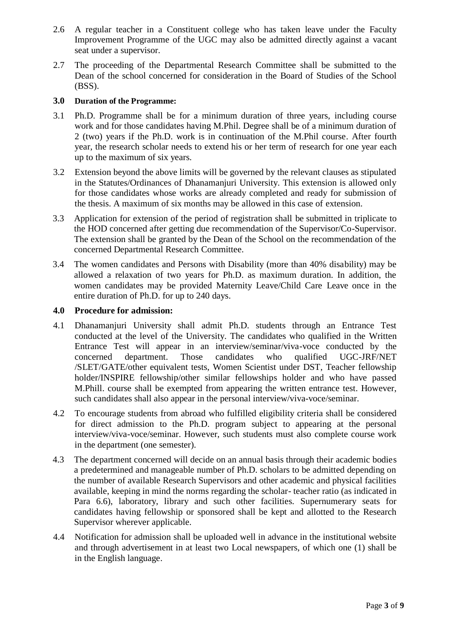- 2.6 A regular teacher in a Constituent college who has taken leave under the Faculty Improvement Programme of the UGC may also be admitted directly against a vacant seat under a supervisor.
- 2.7 The proceeding of the Departmental Research Committee shall be submitted to the Dean of the school concerned for consideration in the Board of Studies of the School (BSS).

#### **3.0 Duration of the Programme:**

- 3.1 Ph.D. Programme shall be for a minimum duration of three years, including course work and for those candidates having M.Phil. Degree shall be of a minimum duration of 2 (two) years if the Ph.D. work is in continuation of the M.Phil course. After fourth year, the research scholar needs to extend his or her term of research for one year each up to the maximum of six years.
- 3.2 Extension beyond the above limits will be governed by the relevant clauses as stipulated in the Statutes/Ordinances of Dhanamanjuri University. This extension is allowed only for those candidates whose works are already completed and ready for submission of the thesis. A maximum of six months may be allowed in this case of extension.
- 3.3 Application for extension of the period of registration shall be submitted in triplicate to the HOD concerned after getting due recommendation of the Supervisor/Co-Supervisor. The extension shall be granted by the Dean of the School on the recommendation of the concerned Departmental Research Committee.
- 3.4 The women candidates and Persons with Disability (more than 40% disability) may be allowed a relaxation of two years for Ph.D. as maximum duration. In addition, the women candidates may be provided Maternity Leave/Child Care Leave once in the entire duration of Ph.D. for up to 240 days.

#### **4.0 Procedure for admission:**

- 4.1 Dhanamanjuri University shall admit Ph.D. students through an Entrance Test conducted at the level of the University. The candidates who qualified in the Written Entrance Test will appear in an interview/seminar/viva-voce conducted by the concerned department. Those candidates who qualified UGC-JRF/NET /SLET/GATE/other equivalent tests, Women Scientist under DST, Teacher fellowship holder/INSPIRE fellowship/other similar fellowships holder and who have passed M.Phill. course shall be exempted from appearing the written entrance test. However, such candidates shall also appear in the personal interview/viva-voce/seminar.
- 4.2 To encourage students from abroad who fulfilled eligibility criteria shall be considered for direct admission to the Ph.D. program subject to appearing at the personal interview/viva-voce/seminar. However, such students must also complete course work in the department (one semester).
- 4.3 The department concerned will decide on an annual basis through their academic bodies a predetermined and manageable number of Ph.D. scholars to be admitted depending on the number of available Research Supervisors and other academic and physical facilities available, keeping in mind the norms regarding the scholar- teacher ratio (as indicated in Para 6.6), laboratory, library and such other facilities. Supernumerary seats for candidates having fellowship or sponsored shall be kept and allotted to the Research Supervisor wherever applicable.
- 4.4 Notification for admission shall be uploaded well in advance in the institutional website and through advertisement in at least two Local newspapers, of which one (1) shall be in the English language.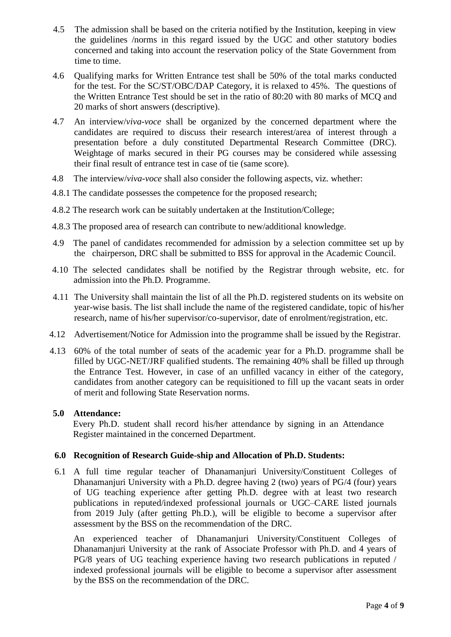- 4.5 The admission shall be based on the criteria notified by the Institution, keeping in view the guidelines /norms in this regard issued by the UGC and other statutory bodies concerned and taking into account the reservation policy of the State Government from time to time.
- 4.6 Qualifying marks for Written Entrance test shall be 50% of the total marks conducted for the test. For the SC/ST/OBC/DAP Category, it is relaxed to 45%. The questions of the Written Entrance Test should be set in the ratio of 80:20 with 80 marks of MCQ and 20 marks of short answers (descriptive).
- 4.7 An interview/*viva-voce* shall be organized by the concerned department where the candidates are required to discuss their research interest/area of interest through a presentation before a duly constituted Departmental Research Committee (DRC). Weightage of marks secured in their PG courses may be considered while assessing their final result of entrance test in case of tie (same score).
- 4.8 The interview/*viva-voce* shall also consider the following aspects, viz. whether:
- 4.8.1 The candidate possesses the competence for the proposed research;
- 4.8.2 The research work can be suitably undertaken at the Institution/College;
- 4.8.3 The proposed area of research can contribute to new/additional knowledge.
- 4.9 The panel of candidates recommended for admission by a selection committee set up by the chairperson, DRC shall be submitted to BSS for approval in the Academic Council.
- 4.10 The selected candidates shall be notified by the Registrar through website, etc. for admission into the Ph.D. Programme.
- 4.11 The University shall maintain the list of all the Ph.D. registered students on its website on year-wise basis. The list shall include the name of the registered candidate, topic of his/her research, name of his/her supervisor/co-supervisor, date of enrolment/registration, etc.
- 4.12 Advertisement/Notice for Admission into the programme shall be issued by the Registrar.
- 4.13 60% of the total number of seats of the academic year for a Ph.D. programme shall be filled by UGC-NET/JRF qualified students. The remaining 40% shall be filled up through the Entrance Test. However, in case of an unfilled vacancy in either of the category, candidates from another category can be requisitioned to fill up the vacant seats in order of merit and following State Reservation norms.

#### **5.0 Attendance:**

Every Ph.D. student shall record his/her attendance by signing in an Attendance Register maintained in the concerned Department.

#### **6.0 Recognition of Research Guide-ship and Allocation of Ph.D. Students:**

6.1 A full time regular teacher of Dhanamanjuri University/Constituent Colleges of Dhanamanjuri University with a Ph.D. degree having 2 (two) years of PG/4 (four) years of UG teaching experience after getting Ph.D. degree with at least two research publications in reputed/indexed professional journals or UGC–CARE listed journals from 2019 July (after getting Ph.D.), will be eligible to become a supervisor after assessment by the BSS on the recommendation of the DRC.

An experienced teacher of Dhanamanjuri University/Constituent Colleges of Dhanamanjuri University at the rank of Associate Professor with Ph.D. and 4 years of PG/8 years of UG teaching experience having two research publications in reputed / indexed professional journals will be eligible to become a supervisor after assessment by the BSS on the recommendation of the DRC.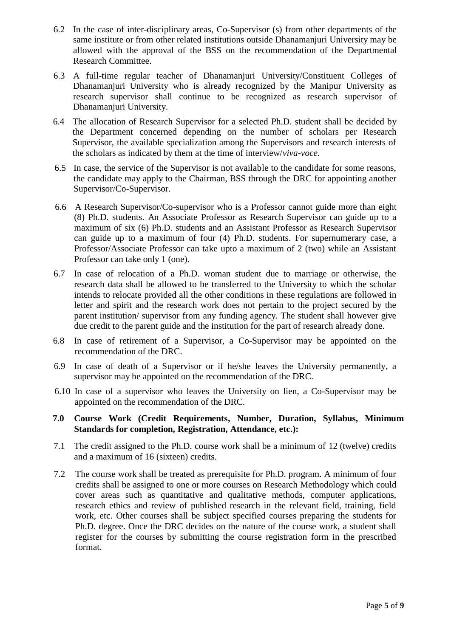- 6.2 In the case of inter-disciplinary areas, Co-Supervisor (s) from other departments of the same institute or from other related institutions outside Dhanamanjuri University may be allowed with the approval of the BSS on the recommendation of the Departmental Research Committee.
- 6.3 A full-time regular teacher of Dhanamanjuri University/Constituent Colleges of Dhanamanjuri University who is already recognized by the Manipur University as research supervisor shall continue to be recognized as research supervisor of Dhanamanjuri University.
- 6.4 The allocation of Research Supervisor for a selected Ph.D. student shall be decided by the Department concerned depending on the number of scholars per Research Supervisor, the available specialization among the Supervisors and research interests of the scholars as indicated by them at the time of interview/*viva-voce*.
- 6.5 In case, the service of the Supervisor is not available to the candidate for some reasons, the candidate may apply to the Chairman, BSS through the DRC for appointing another Supervisor/Co-Supervisor.
- 6.6 A Research Supervisor/Co-supervisor who is a Professor cannot guide more than eight (8) Ph.D. students. An Associate Professor as Research Supervisor can guide up to a maximum of six (6) Ph.D. students and an Assistant Professor as Research Supervisor can guide up to a maximum of four (4) Ph.D. students. For supernumerary case, a Professor/Associate Professor can take upto a maximum of 2 (two) while an Assistant Professor can take only 1 (one).
- 6.7 In case of relocation of a Ph.D. woman student due to marriage or otherwise, the research data shall be allowed to be transferred to the University to which the scholar intends to relocate provided all the other conditions in these regulations are followed in letter and spirit and the research work does not pertain to the project secured by the parent institution/ supervisor from any funding agency. The student shall however give due credit to the parent guide and the institution for the part of research already done.
- 6.8 In case of retirement of a Supervisor, a Co-Supervisor may be appointed on the recommendation of the DRC.
- 6.9 In case of death of a Supervisor or if he/she leaves the University permanently, a supervisor may be appointed on the recommendation of the DRC.
- 6.10 In case of a supervisor who leaves the University on lien, a Co-Supervisor may be appointed on the recommendation of the DRC.
- **7.0 Course Work (Credit Requirements, Number, Duration, Syllabus, Minimum Standards for completion, Registration, Attendance, etc.):**
- 7.1 The credit assigned to the Ph.D. course work shall be a minimum of 12 (twelve) credits and a maximum of 16 (sixteen) credits.
- 7.2 The course work shall be treated as prerequisite for Ph.D. program. A minimum of four credits shall be assigned to one or more courses on Research Methodology which could cover areas such as quantitative and qualitative methods, computer applications, research ethics and review of published research in the relevant field, training, field work, etc. Other courses shall be subject specified courses preparing the students for Ph.D. degree. Once the DRC decides on the nature of the course work, a student shall register for the courses by submitting the course registration form in the prescribed format.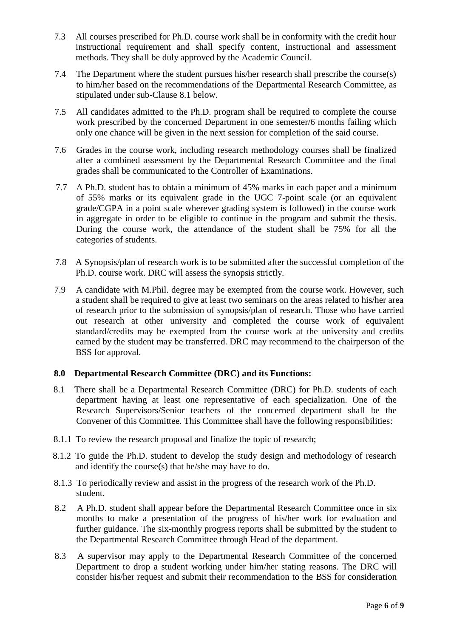- 7.3 All courses prescribed for Ph.D. course work shall be in conformity with the credit hour instructional requirement and shall specify content, instructional and assessment methods. They shall be duly approved by the Academic Council.
- 7.4 The Department where the student pursues his/her research shall prescribe the course(s) to him/her based on the recommendations of the Departmental Research Committee, as stipulated under sub-Clause 8.1 below.
- 7.5 All candidates admitted to the Ph.D. program shall be required to complete the course work prescribed by the concerned Department in one semester/6 months failing which only one chance will be given in the next session for completion of the said course.
- 7.6 Grades in the course work, including research methodology courses shall be finalized after a combined assessment by the Departmental Research Committee and the final grades shall be communicated to the Controller of Examinations.
- 7.7 A Ph.D. student has to obtain a minimum of 45% marks in each paper and a minimum of 55% marks or its equivalent grade in the UGC 7-point scale (or an equivalent grade/CGPA in a point scale wherever grading system is followed) in the course work in aggregate in order to be eligible to continue in the program and submit the thesis. During the course work, the attendance of the student shall be 75% for all the categories of students.
- 7.8 A Synopsis/plan of research work is to be submitted after the successful completion of the Ph.D. course work. DRC will assess the synopsis strictly.
- 7.9 A candidate with M.Phil. degree may be exempted from the course work. However, such a student shall be required to give at least two seminars on the areas related to his/her area of research prior to the submission of synopsis/plan of research. Those who have carried out research at other university and completed the course work of equivalent standard/credits may be exempted from the course work at the university and credits earned by the student may be transferred. DRC may recommend to the chairperson of the BSS for approval.

# **8.0 Departmental Research Committee (DRC) and its Functions:**

- 8.1 There shall be a Departmental Research Committee (DRC) for Ph.D. students of each department having at least one representative of each specialization. One of the Research Supervisors/Senior teachers of the concerned department shall be the Convener of this Committee. This Committee shall have the following responsibilities:
- 8.1.1 To review the research proposal and finalize the topic of research;
- 8.1.2 To guide the Ph.D. student to develop the study design and methodology of research and identify the course(s) that he/she may have to do.
- 8.1.3 To periodically review and assist in the progress of the research work of the Ph.D. student.
- 8.2 A Ph.D. student shall appear before the Departmental Research Committee once in six months to make a presentation of the progress of his/her work for evaluation and further guidance. The six-monthly progress reports shall be submitted by the student to the Departmental Research Committee through Head of the department.
- 8.3 A supervisor may apply to the Departmental Research Committee of the concerned Department to drop a student working under him/her stating reasons. The DRC will consider his/her request and submit their recommendation to the BSS for consideration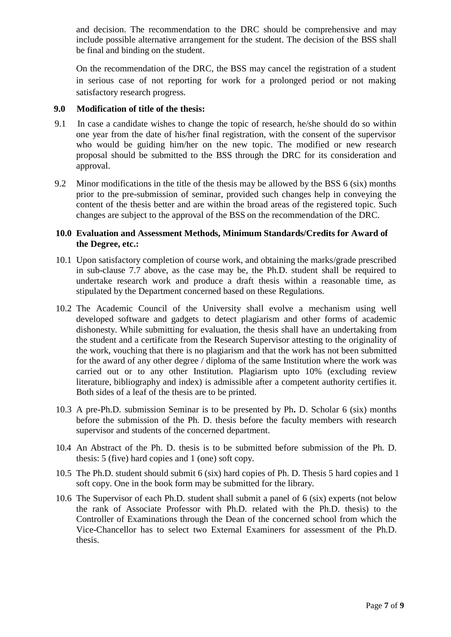and decision. The recommendation to the DRC should be comprehensive and may include possible alternative arrangement for the student. The decision of the BSS shall be final and binding on the student.

On the recommendation of the DRC, the BSS may cancel the registration of a student in serious case of not reporting for work for a prolonged period or not making satisfactory research progress.

## **9.0 Modification of title of the thesis:**

- 9.1 In case a candidate wishes to change the topic of research, he/she should do so within one year from the date of his/her final registration, with the consent of the supervisor who would be guiding him/her on the new topic. The modified or new research proposal should be submitted to the BSS through the DRC for its consideration and approval.
- 9.2 Minor modifications in the title of the thesis may be allowed by the BSS 6 (six) months prior to the pre-submission of seminar, provided such changes help in conveying the content of the thesis better and are within the broad areas of the registered topic. Such changes are subject to the approval of the BSS on the recommendation of the DRC.

## **10.0 Evaluation and Assessment Methods, Minimum Standards/Credits for Award of the Degree, etc.:**

- 10.1 Upon satisfactory completion of course work, and obtaining the marks/grade prescribed in sub-clause 7.7 above, as the case may be, the Ph.D. student shall be required to undertake research work and produce a draft thesis within a reasonable time, as stipulated by the Department concerned based on these Regulations.
- 10.2 The Academic Council of the University shall evolve a mechanism using well developed software and gadgets to detect plagiarism and other forms of academic dishonesty. While submitting for evaluation, the thesis shall have an undertaking from the student and a certificate from the Research Supervisor attesting to the originality of the work, vouching that there is no plagiarism and that the work has not been submitted for the award of any other degree / diploma of the same Institution where the work was carried out or to any other Institution. Plagiarism upto 10% (excluding review literature, bibliography and index) is admissible after a competent authority certifies it. Both sides of a leaf of the thesis are to be printed.
- 10.3 A pre-Ph.D. submission Seminar is to be presented by Ph**.** D. Scholar 6 (six) months before the submission of the Ph. D. thesis before the faculty members with research supervisor and students of the concerned department.
- 10.4 An Abstract of the Ph. D. thesis is to be submitted before submission of the Ph. D. thesis: 5 (five) hard copies and 1 (one) soft copy.
- 10.5 The Ph.D. student should submit 6 (six) hard copies of Ph. D. Thesis 5 hard copies and 1 soft copy. One in the book form may be submitted for the library.
- 10.6 The Supervisor of each Ph.D. student shall submit a panel of 6 (six) experts (not below the rank of Associate Professor with Ph.D. related with the Ph.D. thesis) to the Controller of Examinations through the Dean of the concerned school from which the Vice-Chancellor has to select two External Examiners for assessment of the Ph.D. thesis.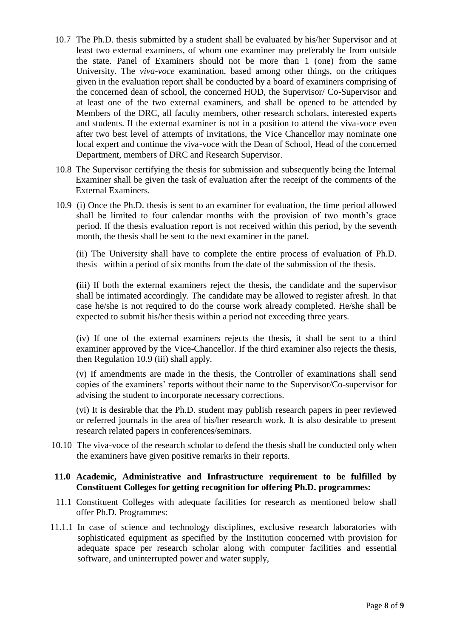- 10.7 The Ph.D. thesis submitted by a student shall be evaluated by his/her Supervisor and at least two external examiners, of whom one examiner may preferably be from outside the state. Panel of Examiners should not be more than 1 (one) from the same University. The *viva-voce* examination, based among other things, on the critiques given in the evaluation report shall be conducted by a board of examiners comprising of the concerned dean of school, the concerned HOD, the Supervisor/ Co-Supervisor and at least one of the two external examiners, and shall be opened to be attended by Members of the DRC, all faculty members, other research scholars, interested experts and students. If the external examiner is not in a position to attend the viva-voce even after two best level of attempts of invitations, the Vice Chancellor may nominate one local expert and continue the viva-voce with the Dean of School, Head of the concerned Department, members of DRC and Research Supervisor.
- 10.8 The Supervisor certifying the thesis for submission and subsequently being the Internal Examiner shall be given the task of evaluation after the receipt of the comments of the External Examiners.
- 10.9 (i) Once the Ph.D. thesis is sent to an examiner for evaluation, the time period allowed shall be limited to four calendar months with the provision of two month's grace period. If the thesis evaluation report is not received within this period, by the seventh month, the thesis shall be sent to the next examiner in the panel.

(ii) The University shall have to complete the entire process of evaluation of Ph.D. thesis within a period of six months from the date of the submission of the thesis.

**(**iii) If both the external examiners reject the thesis, the candidate and the supervisor shall be intimated accordingly. The candidate may be allowed to register afresh. In that case he/she is not required to do the course work already completed. He/she shall be expected to submit his/her thesis within a period not exceeding three years.

(iv) If one of the external examiners rejects the thesis, it shall be sent to a third examiner approved by the Vice-Chancellor. If the third examiner also rejects the thesis, then Regulation 10.9 (iii) shall apply.

(v) If amendments are made in the thesis, the Controller of examinations shall send copies of the examiners' reports without their name to the Supervisor/Co-supervisor for advising the student to incorporate necessary corrections.

(vi) It is desirable that the Ph.D. student may publish research papers in peer reviewed or referred journals in the area of his/her research work. It is also desirable to present research related papers in conferences/seminars.

10.10 The viva-voce of the research scholar to defend the thesis shall be conducted only when the examiners have given positive remarks in their reports.

#### **11.0 Academic, Administrative and Infrastructure requirement to be fulfilled by Constituent Colleges for getting recognition for offering Ph.D. programmes:**

- 11.1 Constituent Colleges with adequate facilities for research as mentioned below shall offer Ph.D. Programmes:
- 11.1.1 In case of science and technology disciplines, exclusive research laboratories with sophisticated equipment as specified by the Institution concerned with provision for adequate space per research scholar along with computer facilities and essential software, and uninterrupted power and water supply,